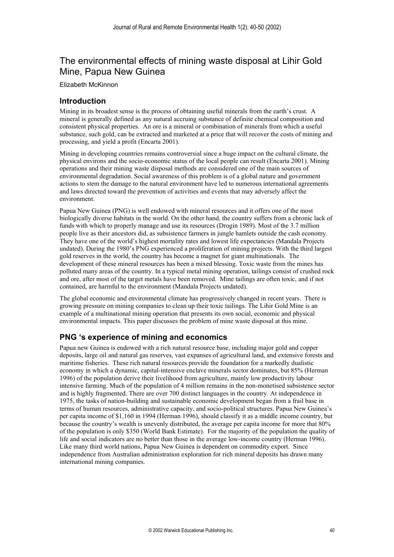# The environmental effects of mining waste disposal at Lihir Gold Mine, Papua New Guinea

Elizabeth McKinnon

## **Introduction**

Mining in its broadest sense is the process of obtaining useful minerals from the earth's crust. A mineral is generally defined as any natural accruing substance of definite chemical composition and consistent physical properties. An ore is a mineral or combination of minerals from which a useful substance, such gold, can be extracted and marketed at a price that will recover the costs of mining and processing, and yield a profit (Encarta 2001).

Mining in developing countries remains controversial since a huge impact on the cultural climate, the physical environs and the socio-economic status of the local people can result (Encarta 2001). Mining operations and their mining waste disposal methods are considered one of the main sources of environmental degradation. Social awareness of this problem is of a global nature and government actions to stem the damage to the natural environment have led to numerous international agreements and laws directed toward the prevention of activities and events that may adversely affect the environment.

Papua New Guinea (PNG) is well endowed with mineral resources and it offers one of the most biologically diverse habitats in the world. On the other hand, the country suffers from a chronic lack of funds with which to properly manage and use its resources (Drogin 1989). Most of the 3.7 million people live as their ancestors did, as subsistence farmers in jungle hamlets outside the cash economy. They have one of the world's highest mortality rates and lowest life expectancies (Mandala Projects undated). During the 1980's PNG experienced a proliferation of mining projects. With the third largest gold reserves in the world, the country has become a magnet for giant multinationals. The development of these mineral resources has been a mixed blessing. Toxic waste from the mines has polluted many areas of the country. In a typical metal mining operation, tailings consist of crushed rock and ore, after most of the target metals have been removed. Mine tailings are often toxic, and if not contained, are harmful to the environment (Mandala Projects undated).

The global economic and environmental climate has progressively changed in recent years. There is growing pressure on mining companies to clean up their toxic tailings. The Lihir Gold Mine is an example of a multinational mining operation that presents its own social, economic and physical environmental impacts. This paper discusses the problem of mine waste disposal at this mine.

# **PNG 's experience of mining and economics**

Papua new Guinea is endowed with a rich natural resource base, including major gold and copper deposits, large oil and natural gas reserves, vast expanses of agricultural land, and extensive forests and maritime fisheries. These rich natural resources provide the foundation for a markedly dualistic economy in which a dynamic, capital-intensive enclave minerals sector dominates, but 85% (Herman 1996) of the population derive their livelihood from agriculture, mainly low productivity labour intensive farming. Much of the population of 4 million remains in the non-monetised subsistence sector and is highly fragmented. There are over 700 distinct languages in the country. At independence in 1975, the tasks of nation-building and sustainable economic development began from a frail base in terms of human resources, administrative capacity, and socio-political structures. Papua New Guinea's per capita income of \$1,160 in 1994 (Herman 1996), should classify it as a middle income country, but because the country's wealth is unevenly distributed, the average per capita income for more that 80% of the population is only \$350 (World Bank Estimate). For the majority of the population the quality of life and social indicators are no better than those in the average low-income country (Herman 1996). Like many third world nations, Papua New Guinea is dependent on commodity export. Since independence from Australian administration exploration for rich mineral deposits has drawn many international mining companies.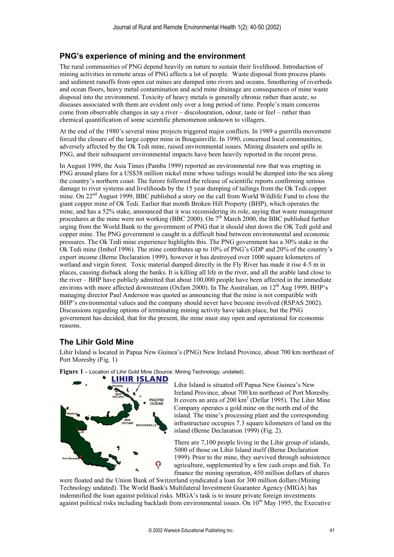# **PNG's experience of mining and the environment**

The rural communities of PNG depend heavily on nature to sustain their livelihood. Introduction of mining activities in remote areas of PNG affects a lot of people. Waste disposal from process plants and sediment runoffs from open cut mines are dumped into rivers and oceans. Smothering of riverbeds and ocean floors, heavy metal contamination and acid mine drainage are consequences of mine waste disposal into the environment. Toxicity of heavy metals is generally chronic rather than acute, so diseases associated with them are evident only over a long period of time. People's main concerns come from observable changes in say a river – discolouration, odour, taste or feel – rather than chemical quantification of some scientific phenomenon unknown to villagers.

At the end of the 1980's several mine projects triggered major conflicts. In 1989 a guerrilla movement forced the closure of the large copper mine in Bougainville. In 1990, concerned local communities, adversely affected by the Ok Tedi mine, raised environmental issues. Mining disasters and spills in PNG, and their subsequent environmental impacts have been heavily reported in the recent press.

In August 1999, the Asia Times (Pamba 1999) reported an environmental row that was erupting in PNG around plans for a US\$38 million nickel mine whose tailings would be dumped into the sea along the country's northern coast. The furore followed the release of scientific reports confirming serious damage to river systems and livelihoods by the 15 year dumping of tailings from the Ok Tedi copper mine. On 22nd August 1999, BBC published a story on the call from World Wildlife Fund to close the giant copper mine of Ok Tedi. Earlier that month Broken Hill Property (BHP), which operates the mine, and has a 52% stake, announced that it was reconsidering its role, saying that waste management procedures at the mine were not working (BBC 2000). On 7<sup>th</sup> March 2000, the BBC published further urging from the World Bank to the government of PNG that it should shut down the OK Tedi gold and copper mine. The PNG government is caught in a difficult bind between environmental and economic pressures. The Ok Tedi mine experience highlights this. The PNG government has a 30% stake in the Ok Tedi mine (Imhof 1996). The mine contributes up to  $10\%$  of PNG's GDP and 20% of the country's export income (Berne Declaration 1999), however it has destroyed over 1000 square kilometers of wetland and virgin forest. Toxic material dumped directly in the Fly River has made it rise 4-5 m in places, causing dieback along the banks. It is killing all life in the river, and all the arable land close to the river – BHP have publicly admitted that about 100,000 people have been affected in the immediate environs with more affected downstream (Oxfam 2000). In The Australian, on 12<sup>th</sup> Aug 1999, BHP's managing director Paul Anderson was quoted as announcing that the mine is not compatible with BHP's environmental values and the company should never have become involved (RSPAS 2002). Discussions regarding options of terminating mining activity have taken place, but the PNG government has decided, that for the present, the mine must stay open and operational for economic reasons.

# **The Lihir Gold Mine**

Lihir Island is located in Papua New Guinea's (PNG) New Ireland Province, about 700 km northeast of Port Moresby (Fig. 1)



Figure 1 - Location of Lihir Gold Mine (Source: Mining Technology, undated).

Lihir Island is situated off Papua New Guinea's New Ireland Province, about 700 km northeast of Port Moresby. island. The mine's processing plant and the corresponding It covers an area of 200 km<sup>2</sup> (Dellar 1995). The Lihir Mine Company operates a gold mine on the north end of the infrastructure occupies 7.3 square kilometers of land on the island (Berne Declaration 1999) (Fig. 2).

There are 7,100 people living in the Lihir group of islands, 1999). Prior to the mine, they survived through subsistence 5000 of those on Lihir Island itself (Berne Declaration agriculture, supplemented by a few cash crops and fish. To finance the mining operation, 450 million dollars of shares

were floated and the Union Bank of Switzerland syndicated a loan for 300 million dollars (Mining against political risks including backlash from environmental issues. On  $10^{th}$  May 1995, the Executive Technology undated). The World Bank's Multilateral Investment Guarantee Agency (MIGA) has indemnified the loan against political risks. MIGA's task is to insure private foreign investments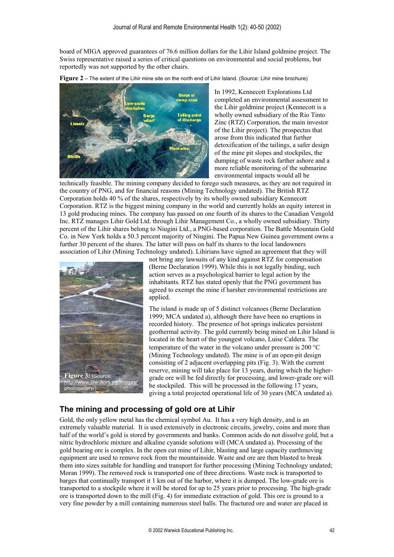board of MIGA approved guarantees of 76.6 million dollars for the Lihir Island goldmine project. The Swiss representative raised a series of critical questions on environmental and social problems, but reportedly was not supported by the other chairs.





In 1992, Kennecott Explorations Ltd completed an environmental assessment to the Lihir goldmine project (Kennecott is a wholly owned subsidiary of the Rio Tinto Zinc (RTZ) Corporation, the main investor of the Lihir project). The prospectus that arose from this indicated that further detoxification of the tailings, a safer design of the mine pit slopes and stockpiles, the dumping of waste rock farther ashore and a more reliable monitoring of the submarine environmental impacts would all be

technically feasible. The mining company decided to forego such measures, as they are not required in the country of PNG, and for financial reasons (Mining Technology undated). The British RTZ Corporation holds 40 % of the shares, respectively by its wholly owned subsidiary Kennecott Corporation. RTZ is the biggest mining company in the world and currently holds an equity interest in 13 gold producing mines. The company has passed on one fourth of its shares to the Canadian Vengold Inc. RTZ manages Lihir Gold Ltd. through Lihir Management Co., a wholly owned subsidiary. Thirty percent of the Lihir shares belong to Niugini Ltd., a PNG-based corporation. The Battle Mountain Gold Co. in New York holds a 50.3 percent majority of Niugini. The Papua New Guinea government owns a further 30 percent of the shares. The latter will pass on half its shares to the local landowners association of Lihir (Mining Technology undated). Lihirians have signed an agreement that they will



not bring any lawsuits of any kind against RTZ for compensation (Berne Declaration 1999). While this is not legally binding, such action serves as a psychological barrier to legal action by the inhabitants. RTZ has stated openly that the PNG government has agreed to exempt the mine if harsher environmental restrictions are applied.

The island is made up of 5 distinct volcanoes (Berne Declaration 1999; MCA undated a), although there have been no eruptions in recorded history. The presence of hot springs indicates persistent geothermal activity. The gold currently being mined on Lihir Island is located in the heart of the youngest volcano, Luise Caldera. The temperature of the water in the volcano under pressure is 200  $^{\circ}$ C (Mining Technology undated). The mine is of an open-pit design consisting of 2 adjacent overlapping pits (Fig. 3). With the current reserve, mining will take place for 13 years, during which the highergrade ore will be fed directly for processing, and lower-grade ore will be stockpiled. This will be processed in the following 17 years, giving a total projected operational life of 30 years (MCA undated a).

## **The mining and processing of gold ore at Lihir**

Gold, the only yellow metal has the chemical symbol Au. It has a very high density, and is an extremely valuable material. It is used extensively in electronic circuits, jewelry, coins and more than half of the world's gold is stored by governments and banks. Common acids do not dissolve gold, but a nitric hydrochloric mixture and alkaline cyanide solutions will (MCA undated a). Processing of the gold bearing ore is complex. In the open cut mine of Lihir, blasting and large capacity earthmoving equipment are used to remove rock from the mountainside. Waste and ore are then blasted to break them into sizes suitable for handling and transport for further processing (Mining Technology undated; Moran 1999). The removed rock is transported one of three directions. Waste rock is transported to barges that continually transport it 1 km out of the harbor, where it is dumped. The low-grade ore is transported to a stockpile where it will be stored for up to 25 years prior to processing. The high-grade ore is transported down to the mill (Fig. 4) for immediate extraction of gold. This ore is ground to a very fine powder by a mill containing numerous steel balls. The fractured ore and water are placed in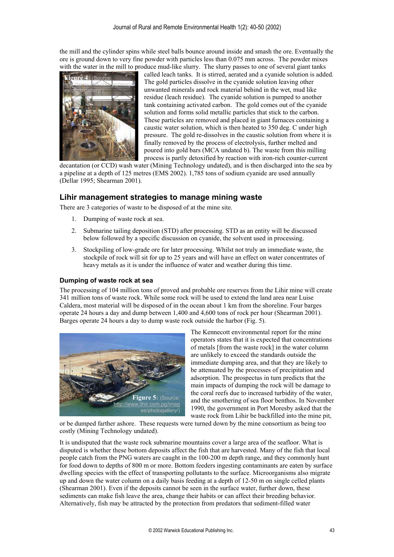the mill and the cylinder spins while steel balls bounce around inside and smash the ore. Eventually the ore is ground down to very fine powder with particles less than 0.075 mm across. The powder mixes with the water in the mill to produce mud-like slurry. The slurry passes to one of several giant tanks



called leach tanks. It is stirred, aerated and a cyanide solution is added. The gold particles dissolve in the cyanide solution leaving other unwanted minerals and rock material behind in the wet, mud like residue (leach residue). The cyanide solution is pumped to another tank containing activated carbon. The gold comes out of the cyanide solution and forms solid metallic particles that stick to the carbon. These particles are removed and placed in giant furnaces containing a caustic water solution, which is then heated to 350 deg. C under high pressure. The gold re-dissolves in the caustic solution from where it is finally removed by the process of electrolysis, further melted and poured into gold bars (MCA undated b). The waste from this milling process is partly detoxified by reaction with iron-rich counter-current

decantation (or CCD) wash water (Mining Technology undated), and is then discharged into the sea by a pipeline at a depth of 125 metres (EMS 2002). 1,785 tons of sodium cyanide are used annually (Dellar 1995; Shearman 2001).

# **Lihir management strategies to manage mining waste**

There are 3 categories of waste to be disposed of at the mine site.

- 1. Dumping of waste rock at sea.
- 2. Submarine tailing deposition (STD) after processing. STD as an entity will be discussed below followed by a specific discussion on cyanide, the solvent used in processing.
- 3. Stockpiling of low-grade ore for later processing. Whilst not truly an immediate waste, the stockpile of rock will sit for up to 25 years and will have an effect on water concentrates of heavy metals as it is under the influence of water and weather during this time.

### **Dumping of waste rock at sea**

The processing of 104 million tons of proved and probable ore reserves from the Lihir mine will create 341 million tons of waste rock. While some rock will be used to extend the land area near Luise Caldera, most material will be disposed of in the ocean about 1 km from the shoreline. Four barges operate 24 hours a day and dump between 1,400 and 4,600 tons of rock per hour (Shearman 2001). Barges operate 24 hours a day to dump waste rock outside the harbor (Fig. 5).



The Kennecott environmental report for the mine operators states that it is expected that concentrations of metals [from the waste rock] in the water column are unlikely to exceed the standards outside the immediate dumping area, and that they are likely to be attenuated by the processes of precipitation and adsorption. The prospectus in turn predicts that the main impacts of dumping the rock will be damage to the coral reefs due to increased turbidity of the water, and the smothering of sea floor benthos. In November 1990, the government in Port Moresby asked that the waste rock from Lihir be backfilled into the mine pit,

or be dumped farther ashore. These requests were turned down by the mine consortium as being too costly (Mining Technology undated).

It is undisputed that the waste rock submarine mountains cover a large area of the seafloor. What is disputed is whether these bottom deposits affect the fish that are harvested. Many of the fish that local people catch from the PNG waters are caught in the 100-200 m depth range, and they commonly hunt for food down to depths of 800 m or more. Bottom feeders ingesting contaminants are eaten by surface dwelling species with the effect of transporting pollutants to the surface. Microorganisms also migrate up and down the water column on a daily basis feeding at a depth of 12-50 m on single celled plants (Shearman 2001). Even if the deposits cannot be seen in the surface water, further down, these sediments can make fish leave the area, change their habits or can affect their breeding behavior. Alternatively, fish may be attracted by the protection from predators that sediment-filled water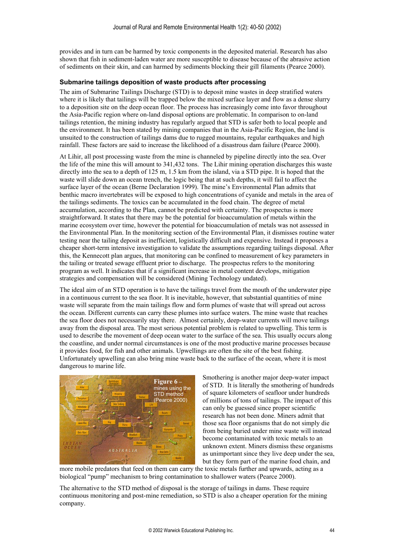provides and in turn can be harmed by toxic components in the deposited material. Research has also shown that fish in sediment-laden water are more susceptible to disease because of the abrasive action of sediments on their skin, and can harmed by sediments blocking their gill filaments (Pearce 2000).

#### **Submarine tailings deposition of waste products after processing**

The aim of Submarine Tailings Discharge (STD) is to deposit mine wastes in deep stratified waters where it is likely that tailings will be trapped below the mixed surface layer and flow as a dense slurry to a deposition site on the deep ocean floor. The process has increasingly come into favor throughout the Asia-Pacific region where on-land disposal options are problematic. In comparison to on-land tailings retention, the mining industry has regularly argued that STD is safer both to local people and the environment. It has been stated by mining companies that in the Asia-Pacific Region, the land is unsuited to the construction of tailings dams due to rugged mountains, regular earthquakes and high rainfall. These factors are said to increase the likelihood of a disastrous dam failure (Pearce 2000).

At Lihir, all post processing waste from the mine is channeled by pipeline directly into the sea. Over the life of the mine this will amount to 341,432 tons. The Lihir mining operation discharges this waste directly into the sea to a depth of 125 m, 1.5 km from the island, via a STD pipe. It is hoped that the waste will slide down an ocean trench, the logic being that at such depths, it will fail to affect the surface layer of the ocean (Berne Declaration 1999). The mine's Environmental Plan admits that benthic macro invertebrates will be exposed to high concentrations of cyanide and metals in the area of the tailings sediments. The toxics can be accumulated in the food chain. The degree of metal accumulation, according to the Plan, cannot be predicted with certainty. The prospectus is more straightforward. It states that there may be the potential for bioaccumulation of metals within the marine ecosystem over time, however the potential for bioaccumulation of metals was not assessed in the Environmental Plan. In the monitoring section of the Environmental Plan, it dismisses routine water testing near the tailing deposit as inefficient, logistically difficult and expensive. Instead it proposes a cheaper short-term intensive investigation to validate the assumptions regarding tailings disposal. After this, the Kennecott plan argues, that monitoring can be confined to measurement of key parameters in the tailing or treated sewage effluent prior to discharge. The prospectus refers to the monitoring program as well. It indicates that if a significant increase in metal content develops, mitigation strategies and compensation will be considered (Mining Technology undated).

The ideal aim of an STD operation is to have the tailings travel from the mouth of the underwater pipe in a continuous current to the sea floor. It is inevitable, however, that substantial quantities of mine waste will separate from the main tailings flow and form plumes of waste that will spread out across the ocean. Different currents can carry these plumes into surface waters. The mine waste that reaches the sea floor does not necessarily stay there. Almost certainly, deep-water currents will move tailings away from the disposal area. The most serious potential problem is related to upwelling. This term is used to describe the movement of deep ocean water to the surface of the sea. This usually occurs along the coastline, and under normal circumstances is one of the most productive marine processes because it provides food, for fish and other animals. Upwellings are often the site of the best fishing. Unfortunately upwelling can also bring mine waste back to the surface of the ocean, where it is most dangerous to marine life.



Smothering is another major deep-water impact of STD. It is literally the smothering of hundreds of square kilometers of seafloor under hundreds of millions of tons of tailings. The impact of this can only be guessed since proper scientific research has not been done. Miners admit that those sea floor organisms that do not simply die from being buried under mine waste will instead become contaminated with toxic metals to an unknown extent. Miners dismiss these organisms as unimportant since they live deep under the sea, but they form part of the marine food chain, and

more mobile predators that feed on them can carry the toxic metals further and upwards, acting as a biological "pump" mechanism to bring contamination to shallower waters (Pearce 2000).

The alternative to the STD method of disposal is the storage of tailings in dams. These require continuous monitoring and post-mine remediation, so STD is also a cheaper operation for the mining company.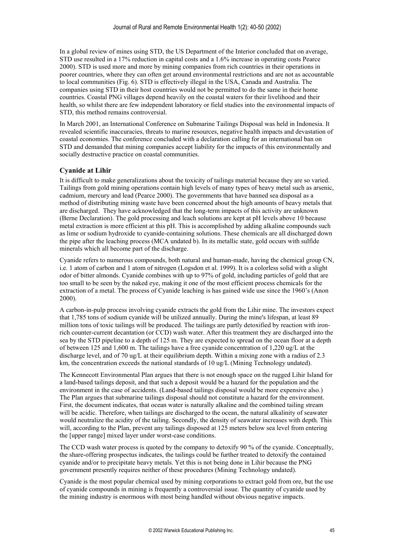In a global review of mines using STD, the US Department of the Interior concluded that on average, STD use resulted in a 17% reduction in capital costs and a 1.6% increase in operating costs Pearce 2000). STD is used more and more by mining companies from rich countries in their operations in poorer countries, where they can often get around environmental restrictions and are not as accountable to local communities (Fig. 6). STD is effectively illegal in the USA, Canada and Australia. The companies using STD in their host countries would not be permitted to do the same in their home countries. Coastal PNG villages depend heavily on the coastal waters for their livelihood and their health, so whilst there are few independent laboratory or field studies into the environmental impacts of STD, this method remains controversial.

In March 2001, an International Conference on Submarine Tailings Disposal was held in Indonesia. It revealed scientific inaccuracies, threats to marine resources, negative health impacts and devastation of coastal economies. The conference concluded with a declaration calling for an international ban on STD and demanded that mining companies accept liability for the impacts of this environmentally and socially destructive practice on coastal communities.

### **Cyanide at Lihir**

It is difficult to make generalizations about the toxicity of tailings material because they are so varied. Tailings from gold mining operations contain high levels of many types of heavy metal such as arsenic, cadmium, mercury and lead (Pearce 2000). The governments that have banned sea disposal as a method of distributing mining waste have been concerned about the high amounts of heavy metals that are discharged. They have acknowledged that the long-term impacts of this activity are unknown (Berne Declaration). The gold processing and leach solutions are kept at pH levels above 10 because metal extraction is more efficient at this pH. This is accomplished by adding alkaline compounds such as lime or sodium hydroxide to cyanide-containing solutions. These chemicals are all discharged down the pipe after the leaching process (MCA undated b). In its metallic state, gold occurs with sulfide minerals which all become part of the discharge.

Cyanide refers to numerous compounds, both natural and human-made, having the chemical group CN, i.e. 1 atom of carbon and 1 atom of nitrogen (Logsdon et al. 1999). It is a colorless solid with a slight odor of bitter almonds. Cyanide combines with up to 97% of gold, including particles of gold that are too small to be seen by the naked eye, making it one of the most efficient process chemicals for the extraction of a metal. The process of Cyanide leaching is has gained wide use since the 1960's (Anon 2000).

A carbon-in-pulp process involving cyanide extracts the gold from the Lihir mine. The investors expect that 1,785 tons of sodium cyanide will be utilized annually. During the mine's lifespan, at least 89 million tons of toxic tailings will be produced. The tailings are partly detoxified by reaction with ironrich counter-current decantation (or CCD) wash water. After this treatment they are discharged into the sea by the STD pipeline to a depth of 125 m. They are expected to spread on the ocean floor at a depth of between 125 and 1,600 m. The tailings have a free cyanide concentration of 1,220 ug/L at the discharge level, and of 70 ug/L at their equilibrium depth. Within a mixing zone with a radius of 2.3 km, the concentration exceeds the national standards of 10 ug/L (Mining Technology undated).

The Kennecott Environmental Plan argues that there is not enough space on the rugged Lihir Island for a land-based tailings deposit, and that such a deposit would be a hazard for the population and the environment in the case of accidents. (Land-based tailings disposal would be more expensive also.) The Plan argues that submarine tailings disposal should not constitute a hazard for the environment. First, the document indicates, that ocean water is naturally alkaline and the combined tailing stream will be acidic. Therefore, when tailings are discharged to the ocean, the natural alkalinity of seawater would neutralize the acidity of the tailing. Secondly, the density of seawater increases with depth. This will, according to the Plan, prevent any tailings disposed at 125 meters below sea level from entering the [upper range] mixed layer under worst-case conditions.

The CCD wash water process is quoted by the company to detoxify 90 % of the cyanide. Conceptually, the share-offering prospectus indicates, the tailings could be further treated to detoxify the contained cyanide and/or to precipitate heavy metals. Yet this is not being done in Lihir because the PNG government presently requires neither of these procedures (Mining Technology undated).

Cyanide is the most popular chemical used by mining corporations to extract gold from ore, but the use of cyanide compounds in mining is frequently a controversial issue. The quantity of cyanide used by the mining industry is enormous with most being handled without obvious negative impacts.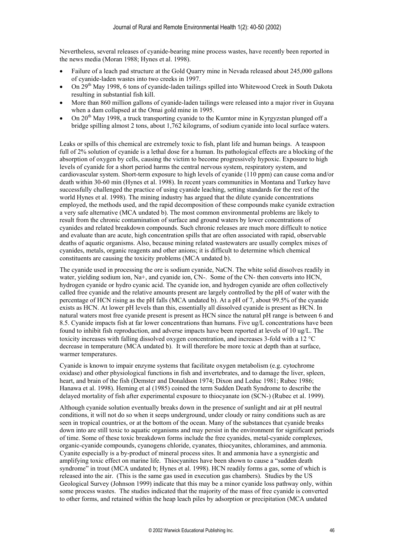Nevertheless, several releases of cyanide-bearing mine process wastes, have recently been reported in the news media (Moran 1988; Hynes et al. 1998).

- Failure of a leach pad structure at the Gold Quarry mine in Nevada released about 245,000 gallons of cyanide-laden wastes into two creeks in 1997.
- On 29<sup>th</sup> May 1998, 6 tons of cyanide-laden tailings spilled into Whitewood Creek in South Dakota resulting in substantial fish kill.
- x More than 860 million gallons of cyanide-laden tailings were released into a major river in Guyana when a dam collapsed at the Omai gold mine in 1995.
- On  $20<sup>th</sup>$  May 1998, a truck transporting cyanide to the Kumtor mine in Kyrgyzstan plunged off a bridge spilling almost 2 tons, about 1,762 kilograms, of sodium cyanide into local surface waters.

Leaks or spills of this chemical are extremely toxic to fish, plant life and human beings. A teaspoon full of 2% solution of cyanide is a lethal dose for a human. Its pathological effects are a blocking of the absorption of oxygen by cells, causing the victim to become progressively hypoxic. Exposure to high levels of cyanide for a short period harms the central nervous system, respiratory system, and cardiovascular system. Short-term exposure to high levels of cyanide (110 ppm) can cause coma and/or death within 30-60 min (Hynes et al. 1998). In recent years communities in Montana and Turkey have successfully challenged the practice of using cyanide leaching, setting standards for the rest of the world Hynes et al. 1998). The mining industry has argued that the dilute cyanide concentrations employed, the methods used, and the rapid decomposition of these compounds make cyanide extraction a very safe alternative (MCA undated b). The most common environmental problems are likely to result from the chronic contamination of surface and ground waters by lower concentrations of cyanides and related breakdown compounds. Such chronic releases are much more difficult to notice and evaluate than are acute, high concentration spills that are often associated with rapid, observable deaths of aquatic organisms. Also, because mining related wastewaters are usually complex mixes of cyanides, metals, organic reagents and other anions; it is difficult to determine which chemical constituents are causing the toxicity problems (MCA undated b).

The cyanide used in processing the ore is sodium cyanide, NaCN. The white solid dissolves readily in water, yielding sodium ion, Na+, and cyanide ion, CN-. Some of the CN- then converts into HCN, hydrogen cyanide or hydro cyanic acid. The cyanide ion, and hydrogen cyanide are often collectively called free cyanide and the relative amounts present are largely controlled by the pH of water with the percentage of HCN rising as the pH falls (MCA undated b). At a pH of 7, about 99.5% of the cyanide exists as HCN. At lower pH levels than this, essentially all dissolved cyanide is present as HCN. In natural waters most free cyanide present is present as HCN since the natural pH range is between 6 and 8.5. Cyanide impacts fish at far lower concentrations than humans. Five ug/L concentrations have been found to inhibit fish reproduction, and adverse impacts have been reported at levels of 10 ug/L. The toxicity increases with falling dissolved oxygen concentration, and increases 3-fold with a 12  $^{\circ}$ C decrease in temperature (MCA undated b). It will therefore be more toxic at depth than at surface, warmer temperatures.

Cyanide is known to impair enzyme systems that facilitate oxygen metabolism (e.g. cytochrome oxidase) and other physiological functions in fish and invertebrates, and to damage the liver, spleen, heart, and brain of the fish (Demster and Donaldson 1974; Dixon and Leduc 1981; Rubec 1986; Hanawa et al. 1998). Heming et al (1985) coined the term Sudden Death Syndrome to describe the delayed mortality of fish after experimental exposure to thiocyanate ion (SCN-) (Rubec et al. 1999).

Although cyanide solution eventually breaks down in the presence of sunlight and air at pH neutral conditions, it will not do so when it seeps underground, under cloudy or rainy conditions such as are seen in tropical countries, or at the bottom of the ocean. Many of the substances that cyanide breaks down into are still toxic to aquatic organisms and may persist in the environment for significant periods of time. Some of these toxic breakdown forms include the free cyanides, metal-cyanide complexes, organic-cyanide compounds, cyanogens chloride, cyanates, thiocyanites, chloramines, and ammonia. Cyanite especially is a by-product of mineral process sites. It and ammonia have a synergistic and amplifying toxic effect on marine life. Thiocyanites have been shown to cause a "sudden death" syndrome" in trout (MCA undated b; Hynes et al. 1998). HCN readily forms a gas, some of which is released into the air. (This is the same gas used in execution gas chambers). Studies by the US Geological Survey (Johnson 1999) indicate that this may be a minor cyanide loss pathway only, within some process wastes. The studies indicated that the majority of the mass of free cyanide is converted to other forms, and retained within the heap leach piles by adsorption or precipitation (MCA undated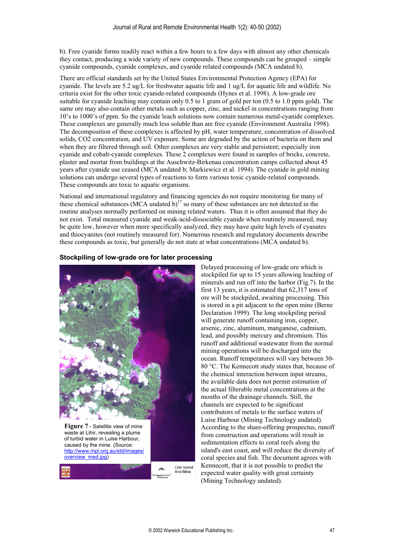b). Free cyanide forms readily react within a few hours to a few days with almost any other chemicals they contact, producing a wide variety of new compounds. These compounds can be grouped  $-\sinh$ cyanide compounds, cyanide complexes, and cyanide related compounds (MCA undated b).

There are official standards set by the United States Environmental Protection Agency (EPA) for cyanide. The levels are 5.2 ug/L for freshwater aquatic life and 1 ug/L for aquatic life and wildlife. No criteria exist for the other toxic cyanide-related compounds (Hynes et al. 1998). A low-grade ore suitable for cyanide leaching may contain only 0.5 to 1 gram of gold per ton (0.5 to 1.0 ppm gold). The same ore may also contain other metals such as copper, zinc, and nickel in concentrations ranging from 10's to 1000's of ppm. So the cyanide leach solutions now contain numerous metal-cyanide complexes. These complexes are generally much less soluble than are free cyanide (Environment Australia 1998). The decomposition of these complexes is affected by pH, water temperature, concentration of dissolved solids, CO2 concentration, and UV exposure. Some are degraded by the action of bacteria on them and when they are filtered through soil. Other complexes are very stable and persistent; especially iron cyanide and cobalt-cyanide complexes. These 2 complexes were found in samples of bricks, concrete, plaster and mortar from buildings at the Auschwitz-Birkenau concentration camps collected about 45 years after cyanide use ceased (MCA undated b; Markiewicz et al. 1994). The cyanide in gold mining solutions can undergo several types of reactions to form various toxic cyanide-related compounds. These compounds are toxic to aquatic organisms.

National and international regulatory and financing agencies do not require monitoring for many of these chemical substances (MCA undated  $b$ )<sup>17</sup> so many of these substances are not detected in the routine analyses normally performed on mining related waters. Thus it is often assumed that they do not exist. Total measured cyanide and weak-acid-dissociable cyanide when routinely measured, may be quite low, however when more specifically analyzed, they may have quite high levels of cyanates and thiocyanites (not routinely measured for). Numerous research and regulatory documents describe these compounds as toxic, but generally do not state at what concentrations (MCA undated b).

#### **Stockpiling of low-grade ore for later processing**



Delayed processing of low-grade ore which is stockpiled for up to 15 years allowing leaching of minerals and run off into the harbor (Fig.7). In the first 13 years, it is estimated that 62,317 tons of ore will be stockpiled, awaiting processing. This is stored in a pit adjacent to the open mine (Berne Declaration 1999). The long stockpiling period will generate runoff containing iron, copper, arsenic, zinc, aluminum, manganese, cadmium, lead, and possibly mercury and chromium. This runoff and additional wastewater from the normal mining operations will be discharged into the ocean. Runoff temperatures will vary between 30- 80 °C. The Kennecott study states that, because of the chemical interaction between input stre ams, the available data does not permit estimation of the actual filterable metal concentrations at the mouths of the drainage channels. Still, the channels are expected to be significant contributors of metals to the surface waters of Luise Harbour (Mining Technology undated). According to the share-offering prospectus , runoff from construction and operations will result in sedimentation effects to coral reefs along the island's east coast, and will reduce the diversity o f coral species and fish. The document agrees with Kennecott, that it is not possible to predict the expected water quality with great certainty (Mining Technology undated).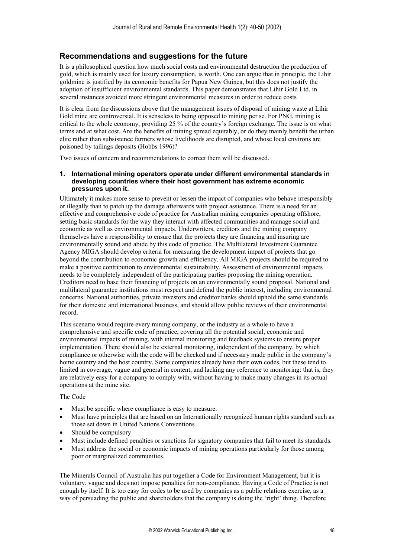### **Recommendations and suggestions for the future**

It is a philosophical question how much social costs and environmental destruction the production of gold, which is mainly used for luxury consumption, is worth. One can argue that in principle, the Lihir goldmine is justified by its economic benefits for Papua New Guinea, but this does not justify the adoption of insufficient environmental standards. This paper demonstrates that Lihir Gold Ltd. in several instances avoided more stringent environmental measures in order to reduce costs

It is clear from the discussions above that the management issues of disposal of mining waste at Lihir Gold mine are controversial. It is senseless to being opposed to mining per se. For PNG, mining is critical to the whole economy, providing 25 % of the country's foreign exchange. The issue is on what terms and at what cost. Are the benefits of mining spread equitably, or do they mainly benefit the urban elite rather than subsistence farmers whose livelihoods are disrupted, and whose local environs are poisoned by tailings deposits (Hobbs 1996)?

Two issues of concern and recommendations to correct them will be discussed.

### **1. International mining operators operate under different environmental standards in developing countries where their host government has extreme economic pressures upon it.**

Ultimately it makes more sense to prevent or lessen the impact of companies who behave irresponsibly or illegally than to patch up the damage afterwards with project assistance. There is a need for an effective and comprehensive code of practice for Australian mining companies operating offshore, setting basic standards for the way they interact with affected communities and manage social and economic as well as environmental impacts. Underwriters, creditors and the mining company themselves have a responsibility to ensure that the projects they are financing and insuring are environmentally sound and abide by this code of practice. The Multilateral Investment Guarantee Agency MIGA should develop criteria for measuring the development impact of projects that go beyond the contribution to economic growth and efficiency. All MIGA projects should be required to make a positive contribution to environmental sustainability. Assessment of environmental impacts needs to be completely independent of the participating parties proposing the mining operation. Creditors need to base their financing of projects on an environmentally sound proposal. National and multilateral guarantee institutions must respect and defend the public interest, including environmental concerns. National authorities, private investors and creditor banks should uphold the same standards for their domestic and international business, and should allow public reviews of their environmental record.

This scenario would require every mining company, or the industry as a whole to have a comprehensive and specific code of practice, covering all the potential social, economic and environmental impacts of mining, with internal monitoring and feedback systems to ensure proper implementation. There should also be external monitoring, independent of the company, by which compliance or otherwise with the code will be checked and if necessary made public in the company's home country and the host country. Some companies already have their own codes, but these tend to limited in coverage, vague and general in content, and lacking any reference to monitoring: that is, they are relatively easy for a company to comply with, without having to make many changes in its actual operations at the mine site.

### The Code

- Must be specific where compliance is easy to measure.
- Must have principles that are based on an Internationally recognized human rights standard such as those set down in United Nations Conventions
- x Should be compulsory
- Must include defined penalties or sanctions for signatory companies that fail to meet its standards.
- Must address the social or economic impacts of mining operations particularly for those among poor or marginalized communities.

The Minerals Council of Australia has put together a Code for Environment Management, but it is voluntary, vague and does not impose penalties for non-compliance. Having a Code of Practice is not enough by itself. It is too easy for codes to be used by companies as a public relations exercise, as a way of persuading the public and shareholders that the company is doing the 'right' thing. Therefore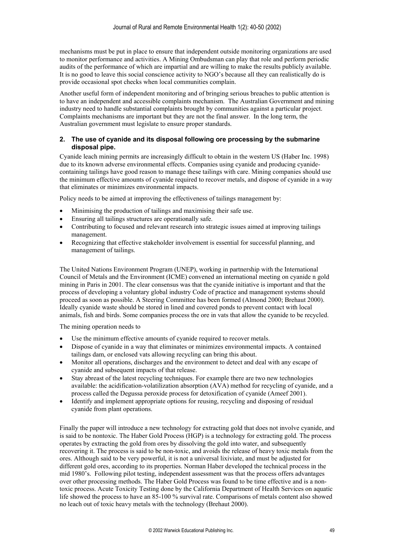mechanisms must be put in place to ensure that independent outside monitoring organizations are used to monitor performance and activities. A Mining Ombudsman can play that role and perform periodic audits of the performance of which are impartial and are willing to make the results publicly available. It is no good to leave this social conscience activity to NGO's because all they can realistically do is provide occasional spot checks when local communities complain.

Another useful form of independent monitoring and of bringing serious breaches to public attention is to have an independent and accessible complaints mechanism. The Australian Government and mining industry need to handle substantial complaints brought by communities against a particular project. Complaints mechanisms are important but they are not the final answer. In the long term, the Australian government must legislate to ensure proper standards.

### **2. The use of cyanide and its disposal following ore processing by the submarine disposal pipe.**

Cyanide leach mining permits are increasingly difficult to obtain in the western US (Haber Inc. 1998) due to its known adverse environmental effects. Companies using cyanide and producing cyanidecontaining tailings have good reason to manage these tailings with care. Mining companies should use the minimum effective amounts of cyanide required to recover metals, and dispose of cyanide in a way that eliminates or minimizes environmental impacts.

Policy needs to be aimed at improving the effectiveness of tailings management by:

- x Minimising the production of tailings and maximising their safe use.
- Ensuring all tailings structures are operationally safe.
- Contributing to focused and relevant research into strategic issues aimed at improving tailings management.
- Recognizing that effective stakeholder involvement is essential for successful planning, and management of tailings.

The United Nations Environment Program (UNEP), working in partnership with the International Council of Metals and the Environment (ICME) convened an international meeting on cyanide n gold mining in Paris in 2001. The clear consensus was that the cyanide initiative is important and that the process of developing a voluntary global industry Code of practice and management systems should proceed as soon as possible. A Steering Committee has been formed (Almond 2000; Brehaut 2000). Ideally cyanide waste should be stored in lined and covered ponds to prevent contact with local animals, fish and birds. Some companies process the ore in vats that allow the cyanide to be recycled.

The mining operation needs to

- Use the minimum effective amounts of cyanide required to recover metals.
- Dispose of cyanide in a way that eliminates or minimizes environmental impacts. A contained tailings dam, or enclosed vats allowing recycling can bring this about.
- Monitor all operations, discharges and the environment to detect and deal with any escape of cyanide and subsequent impacts of that release.
- x Stay abreast of the latest recycling techniques. For example there are two new technologies available: the acidification-volatilization absorption (AVA) method for recycling of cyanide, and a process called the Degussa peroxide process for detoxification of cyanide (Ameef 2001).
- Identify and implement appropriate options for reusing, recycling and disposing of residual cyanide from plant operations.

Finally the paper will introduce a new technology for extracting gold that does not involve cyanide, and is said to be nontoxic. The Haber Gold Process (HGP) is a technology for extracting gold. The process operates by extracting the gold from ores by dissolving the gold into water, and subsequently recovering it. The process is said to be non-toxic, and avoids the release of heavy toxic metals from the ores. Although said to be very powerful, it is not a universal lixiviate, and must be adjusted for different gold ores, according to its properties. Norman Haber developed the technical process in the mid 1980's. Following pilot testing, independent assessment was that the process offers advantages over other processing methods. The Haber Gold Process was found to be time effective and is a nontoxic process. Acute Toxicity Testing done by the California Department of Health Services on aquatic life showed the process to have an 85-100 % survival rate. Comparisons of metals content also showed no leach out of toxic heavy metals with the technology (Brehaut 2000).